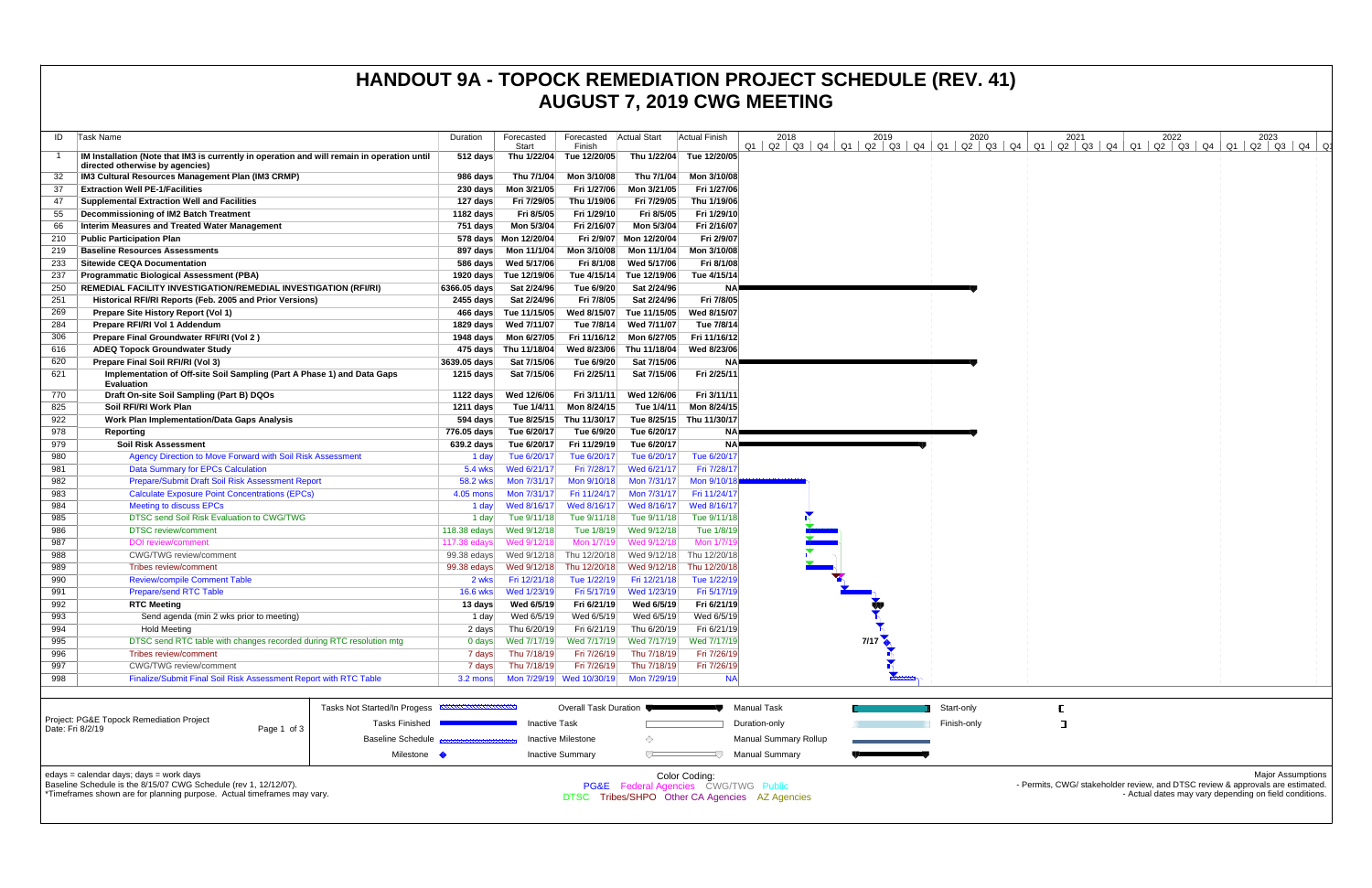| ID  | Task Name                                                                                                                      | Duration           | Forecasted<br>Start      | Forecasted<br>Finish         | <b>Actual Start</b>                  | Actual Finish                                  | 2018                         | 2019 | 2020        | 2021<br>$Q1$   $Q2$   $Q3$   $Q4$   $Q1$   $Q2$   $Q3$   $Q4$   $Q1$   $Q2$   $Q3$   $Q4$   $Q1$   $Q2$   $Q3$   $Q4$   $Q1$   $Q2$   $Q3$   $Q4$   $Q1$   $Q2$   $Q3$   $Q4$ | 2022 | 2023                                                                           |
|-----|--------------------------------------------------------------------------------------------------------------------------------|--------------------|--------------------------|------------------------------|--------------------------------------|------------------------------------------------|------------------------------|------|-------------|-------------------------------------------------------------------------------------------------------------------------------------------------------------------------------|------|--------------------------------------------------------------------------------|
|     | IM Installation (Note that IM3 is currently in operation and will remain in operation until<br>directed otherwise by agencies) | 512 days           | Thu 1/22/04              | Tue 12/20/05                 | Thu 1/22/04                          | Tue 12/20/05                                   |                              |      |             |                                                                                                                                                                               |      |                                                                                |
| 32  | IM3 Cultural Resources Management Plan (IM3 CRMP)                                                                              | 986 days           | Thu 7/1/04               | Mon 3/10/08                  | Thu 7/1/04                           | Mon 3/10/08                                    |                              |      |             |                                                                                                                                                                               |      |                                                                                |
| 37  | <b>Extraction Well PE-1/Facilities</b>                                                                                         | 230 days           | Mon 3/21/05              | Fri 1/27/06                  | Mon 3/21/05                          | Fri 1/27/06                                    |                              |      |             |                                                                                                                                                                               |      |                                                                                |
| 47  | <b>Supplemental Extraction Well and Facilities</b>                                                                             | 127 days           | Fri 7/29/05              | Thu 1/19/06                  | Fri 7/29/05                          | Thu 1/19/06                                    |                              |      |             |                                                                                                                                                                               |      |                                                                                |
| 55  | Decommissioning of IM2 Batch Treatment                                                                                         | 1182 days          | Fri 8/5/05               | Fri 1/29/10                  | Fri 8/5/05                           | Fri 1/29/10                                    |                              |      |             |                                                                                                                                                                               |      |                                                                                |
| 66  | Interim Measures and Treated Water Management                                                                                  | 751 days           | Mon 5/3/04               | Fri 2/16/07                  | Mon 5/3/04                           | Fri 2/16/07                                    |                              |      |             |                                                                                                                                                                               |      |                                                                                |
| 210 | <b>Public Participation Plan</b>                                                                                               |                    | 578 days  Mon 12/20/04   |                              | Fri 2/9/07 Mon 12/20/04              | Fri 2/9/07                                     |                              |      |             |                                                                                                                                                                               |      |                                                                                |
| 219 | <b>Baseline Resources Assessments</b>                                                                                          |                    |                          | Mon 3/10/08                  | Mon 11/1/04                          | Mon 3/10/08                                    |                              |      |             |                                                                                                                                                                               |      |                                                                                |
| 233 | <b>Sitewide CEQA Documentation</b>                                                                                             |                    |                          | Fri 8/1/08                   | Wed 5/17/06                          | Fri 8/1/08                                     |                              |      |             |                                                                                                                                                                               |      |                                                                                |
| 237 | <b>Programmatic Biological Assessment (PBA)</b>                                                                                |                    | 1920 days Tue 12/19/06   |                              | Tue 4/15/14 Tue 12/19/06             | Tue 4/15/14                                    |                              |      |             |                                                                                                                                                                               |      |                                                                                |
| 250 | REMEDIAL FACILITY INVESTIGATION/REMEDIAL INVESTIGATION (RFI/RI)                                                                | 6366.05 days       | Sat 2/24/96              | Tue 6/9/20                   | Sat 2/24/96                          | <b>NA</b>                                      |                              |      |             |                                                                                                                                                                               |      |                                                                                |
| 251 | Historical RFI/RI Reports (Feb. 2005 and Prior Versions)                                                                       | 2455 days          | Sat 2/24/96              | Fri 7/8/05                   | Sat 2/24/96                          | Fri 7/8/05                                     |                              |      |             |                                                                                                                                                                               |      |                                                                                |
| 269 | Prepare Site History Report (Vol 1)                                                                                            |                    | 466 days Tue 11/15/05    | Wed 8/15/07                  | Tue 11/15/05                         | Wed 8/15/07                                    |                              |      |             |                                                                                                                                                                               |      |                                                                                |
| 284 | Prepare RFI/RI Vol 1 Addendum                                                                                                  | 1829 days          | Wed 7/11/07              | Tue 7/8/14                   | Wed 7/11/07                          | Tue 7/8/14                                     |                              |      |             |                                                                                                                                                                               |      |                                                                                |
| 306 | Prepare Final Groundwater RFI/RI (Vol 2)                                                                                       |                    | 1948 days    Mon 6/27/05 |                              | Fri 11/16/12 Mon 6/27/05             | Fri 11/16/12                                   |                              |      |             |                                                                                                                                                                               |      |                                                                                |
| 616 | <b>ADEQ Topock Groundwater Study</b>                                                                                           |                    | 475 days Thu 11/18/04    |                              | Wed 8/23/06 Thu 11/18/04             | Wed 8/23/06                                    |                              |      |             |                                                                                                                                                                               |      |                                                                                |
| 620 | Prepare Final Soil RFI/RI (Vol 3)                                                                                              | 3639.05 days       | Sat 7/15/06              | Tue 6/9/20                   | Sat 7/15/06                          | <b>NA</b>                                      |                              |      |             |                                                                                                                                                                               |      |                                                                                |
| 621 | Implementation of Off-site Soil Sampling (Part A Phase 1) and Data Gaps<br><b>Evaluation</b>                                   | 1215 days          | Sat 7/15/06              | Fri 2/25/11                  | Sat 7/15/06                          | Fri 2/25/11                                    |                              |      |             |                                                                                                                                                                               |      |                                                                                |
| 770 | Draft On-site Soil Sampling (Part B) DQOs                                                                                      | 1122 days          | Wed 12/6/06              | Fri 3/11/11                  | Wed 12/6/06                          | Fri 3/11/11                                    |                              |      |             |                                                                                                                                                                               |      |                                                                                |
| 825 | Soil RFI/RI Work Plan                                                                                                          | 1211 days          | Tue 1/4/11               | Mon 8/24/15                  | Tue 1/4/11                           | Mon 8/24/15                                    |                              |      |             |                                                                                                                                                                               |      |                                                                                |
| 922 | <b>Work Plan Implementation/Data Gaps Analysis</b>                                                                             | 594 days           | Tue 8/25/15              | Thu 11/30/17                 |                                      | Tue 8/25/15 Thu 11/30/17                       |                              |      |             |                                                                                                                                                                               |      |                                                                                |
| 978 | Reporting                                                                                                                      | 776.05 days        | Tue 6/20/17              | Tue 6/9/20                   | Tue 6/20/17                          | NA.                                            |                              |      |             |                                                                                                                                                                               |      |                                                                                |
| 979 | <b>Soil Risk Assessment</b>                                                                                                    | 639.2 days         | Tue 6/20/17              | Fri 11/29/19                 | Tue 6/20/17                          | <b>NA</b>                                      |                              |      |             |                                                                                                                                                                               |      |                                                                                |
| 980 | Agency Direction to Move Forward with Soil Risk Assessment                                                                     | 1 day              | Tue 6/20/17              | Tue 6/20/17                  | Tue 6/20/17                          | Tue 6/20/17                                    |                              |      |             |                                                                                                                                                                               |      |                                                                                |
| 981 | <b>Data Summary for EPCs Calculation</b>                                                                                       | $5.4$ wks          | Wed 6/21/17              | Fri 7/28/17                  | Wed 6/21/17                          | Fri 7/28/17                                    |                              |      |             |                                                                                                                                                                               |      |                                                                                |
| 982 | Prepare/Submit Draft Soil Risk Assessment Report                                                                               | 58.2 wks           | Mon 7/31/17              | Mon 9/10/18                  | Mon 7/31/17                          | Mon 9/10/1                                     |                              |      |             |                                                                                                                                                                               |      |                                                                                |
| 983 | <b>Calculate Exposure Point Concentrations (EPCs)</b>                                                                          | 4.05 mons          | Mon 7/31/17              | Fri 11/24/17                 | Mon 7/31/17                          | Fri 11/24/17                                   |                              |      |             |                                                                                                                                                                               |      |                                                                                |
| 984 | <b>Meeting to discuss EPCs</b>                                                                                                 | 1 day              | Wed 8/16/17              | Wed 8/16/17                  | Wed 8/16/17                          | Wed 8/16/17                                    |                              |      |             |                                                                                                                                                                               |      |                                                                                |
| 985 | DTSC send Soil Risk Evaluation to CWG/TWG                                                                                      | 1 day              | Tue 9/11/18              | Tue 9/11/18                  | Tue 9/11/18                          | Tue 9/11/18                                    |                              |      |             |                                                                                                                                                                               |      |                                                                                |
| 986 | <b>DTSC</b> review/comment                                                                                                     | 118.38 $edays$     | Wed 9/12/18              | Tue 1/8/19                   | Wed 9/12/18                          | Tue 1/8/19                                     |                              |      |             |                                                                                                                                                                               |      |                                                                                |
| 987 | <b>DOI</b> review/comment                                                                                                      | 117.38 edays       | Wed 9/12/18              | Mon 1/7/19                   | Wed 9/12/18                          | Mon 1/7/1                                      |                              |      |             |                                                                                                                                                                               |      |                                                                                |
| 988 | <b>CWG/TWG</b> review/comment                                                                                                  | 99.38 edays        | Wed 9/12/18              | Thu 12/20/18                 | Wed 9/12/18                          | Thu 12/20/18                                   |                              |      |             |                                                                                                                                                                               |      |                                                                                |
| 989 | Tribes review/comment                                                                                                          | 99.38 edays        | Wed 9/12/18              | Thu 12/20/18                 | Wed 9/12/18                          | Thu 12/20/18                                   |                              |      |             |                                                                                                                                                                               |      |                                                                                |
| 990 | <b>Review/compile Comment Table</b>                                                                                            | 2 wks              | Fri 12/21/18             | Tue 1/22/19                  | Fri 12/21/18                         | Tue 1/22/19                                    |                              |      |             |                                                                                                                                                                               |      |                                                                                |
| 991 | <b>Prepare/send RTC Table</b>                                                                                                  | $16.6$ wks         | Wed 1/23/19              | Fri 5/17/19                  | Wed 1/23/19                          | Fri 5/17/19                                    |                              |      |             |                                                                                                                                                                               |      |                                                                                |
| 992 | <b>RTC Meeting</b>                                                                                                             | 13 days            | Wed 6/5/19               | Fri 6/21/19                  | Wed 6/5/19                           | Fri 6/21/19                                    |                              |      |             |                                                                                                                                                                               |      |                                                                                |
| 993 | Send agenda (min 2 wks prior to meeting)                                                                                       | 1 day              | Wed 6/5/19               | Wed 6/5/19                   | Wed 6/5/19                           | Wed 6/5/19                                     |                              |      |             |                                                                                                                                                                               |      |                                                                                |
| 994 | <b>Hold Meeting</b>                                                                                                            | 2 days             | Thu 6/20/19              | Fri 6/21/19                  | Thu 6/20/19                          | Fri 6/21/19                                    |                              |      |             |                                                                                                                                                                               |      |                                                                                |
| 995 | DTSC send RTC table with changes recorded during RTC resolution mtg                                                            | $0$ days           | Wed 7/17/19              | Wed 7/17/19                  | Wed 7/17/19                          | Wed 7/17/19                                    |                              | 7/17 |             |                                                                                                                                                                               |      |                                                                                |
| 996 | Tribes review/comment                                                                                                          | 7 days             | Thu 7/18/19              | Fri 7/26/19                  | Thu 7/18/19                          | Fri 7/26/19                                    |                              |      |             |                                                                                                                                                                               |      |                                                                                |
| 997 | <b>CWG/TWG</b> review/comment                                                                                                  | 7 days             | Thu 7/18/19              | Fri 7/26/19                  | Thu 7/18/19                          | Fri 7/26/19                                    |                              |      |             |                                                                                                                                                                               |      |                                                                                |
| 998 | Finalize/Submit Final Soil Risk Assessment Report with RTC Table                                                               | $3.2 \text{ mon }$ |                          |                              | Mon 7/29/19 Wed 10/30/19 Mon 7/29/19 | <b>NA</b>                                      |                              |      |             |                                                                                                                                                                               |      |                                                                                |
|     |                                                                                                                                |                    |                          |                              |                                      |                                                |                              |      |             |                                                                                                                                                                               |      |                                                                                |
|     |                                                                                                                                |                    |                          |                              |                                      |                                                |                              |      |             |                                                                                                                                                                               |      |                                                                                |
|     | Tasks Not Started/In Progess                                                                                                   |                    |                          | <b>Overall Task Duration</b> |                                      |                                                | Manual Task                  |      | Start-only  |                                                                                                                                                                               |      |                                                                                |
|     | Project: PG&E Topock Remediation Project<br><b>Tasks Finished</b><br>Date: Fri 8/2/19<br>Page 1 of 3                           |                    | <b>Inactive Task</b>     |                              |                                      |                                                | Duration-only                |      | Finish-only | $\Box$                                                                                                                                                                        |      |                                                                                |
|     | <b>Baseline Schedule</b>                                                                                                       |                    |                          | <b>Inactive Milestone</b>    | ◇                                    |                                                | <b>Manual Summary Rollup</b> |      |             |                                                                                                                                                                               |      |                                                                                |
|     |                                                                                                                                |                    |                          |                              | ∪−                                   |                                                |                              |      |             |                                                                                                                                                                               |      |                                                                                |
|     | Milestone •                                                                                                                    |                    |                          | <b>Inactive Summary</b>      |                                      |                                                | <b>Manual Summary</b>        |      |             |                                                                                                                                                                               |      |                                                                                |
|     | edays = calendar days; days = work days                                                                                        |                    |                          |                              |                                      | Color Coding:                                  |                              |      |             |                                                                                                                                                                               |      | <b>Major Assumptions</b>                                                       |
|     | Baseline Schedule is the 8/15/07 CWG Schedule (rev 1, 12/12/07).                                                               |                    |                          |                              |                                      | PG&E Federal Agencies CWG/TWG Public           |                              |      |             |                                                                                                                                                                               |      | - Permits, CWG/ stakeholder review, and DTSC review & approvals are estimated. |
|     | *Timeframes shown are for planning purpose. Actual timeframes may vary.                                                        |                    |                          |                              |                                      | DTSC Tribes/SHPO Other CA Agencies AZ Agencies |                              |      |             |                                                                                                                                                                               |      | - Actual dates may vary depending on field conditions.                         |
|     |                                                                                                                                |                    |                          |                              |                                      |                                                |                              |      |             |                                                                                                                                                                               |      |                                                                                |
|     |                                                                                                                                |                    |                          |                              |                                      |                                                |                              |      |             |                                                                                                                                                                               |      |                                                                                |

## **HANDOUT 9A - TOPOCK REMEDIATION PROJECT SCHEDULE (REV. 41) AUGUST 7, 2019 CWG MEETING**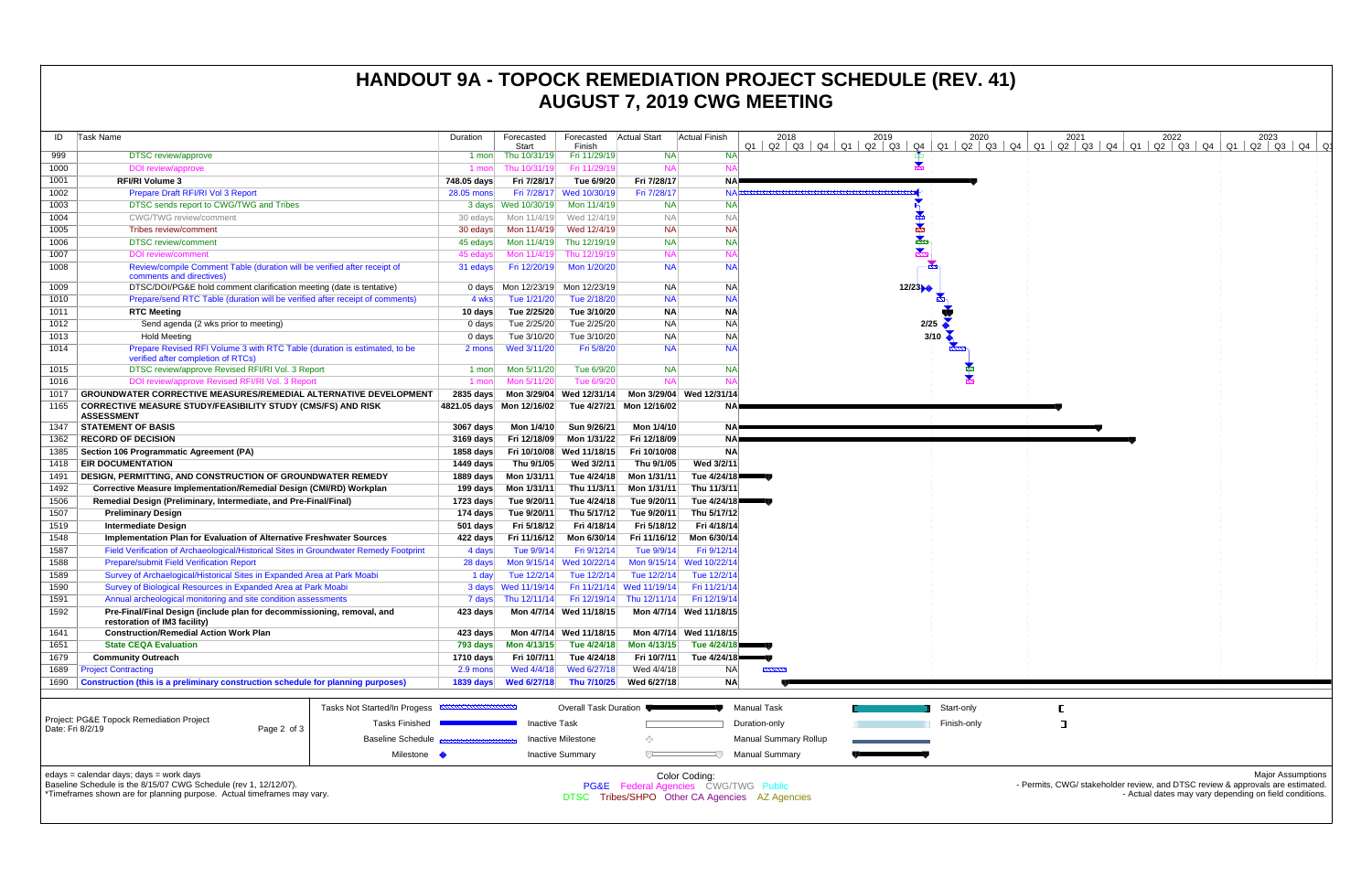| ID           | Task Name                                                                                                                                                                              | Duration           | Forecasted<br>Start                                        | Forecasted Actual Start<br>Finish |                           | Actual Finish                                         | 2018                                           | 2019<br>$Q1$   $Q2$   $Q3$   $Q4$   $Q1$   $Q2$   $Q3$   $Q4$ | 2020               | 2021 | 2022 | 2023<br>  Q1   Q2   Q3   Q4   Q1   Q2   Q3   Q4   Q1   Q2   Q3   Q4   Q1   Q2   Q3   Q4   Q1                                                                         |
|--------------|----------------------------------------------------------------------------------------------------------------------------------------------------------------------------------------|--------------------|------------------------------------------------------------|-----------------------------------|---------------------------|-------------------------------------------------------|------------------------------------------------|---------------------------------------------------------------|--------------------|------|------|----------------------------------------------------------------------------------------------------------------------------------------------------------------------|
| 999          | <b>DTSC</b> review/approve                                                                                                                                                             | 1 mon              | Thu 10/31/19                                               | Fri 11/29/19                      | <b>NA</b>                 | <b>NA</b>                                             |                                                |                                                               |                    |      |      |                                                                                                                                                                      |
| 1000         | <b>DOI</b> review/approve                                                                                                                                                              | 1 mon              | Thu 10/31/19                                               | Fri 11/29/19                      | <b>NA</b>                 | <b>NA</b>                                             |                                                |                                                               |                    |      |      |                                                                                                                                                                      |
| 1001         | <b>RFI/RI Volume 3</b>                                                                                                                                                                 | 748.05 days        | Fri 7/28/17                                                | Tue 6/9/20                        | Fri 7/28/17               | NAP                                                   |                                                |                                                               |                    |      |      |                                                                                                                                                                      |
| 1002         | Prepare Draft RFI/RI Vol 3 Report                                                                                                                                                      | 28.05 mons         |                                                            | Fri 7/28/17 Wed 10/30/19          | Fri 7/28/17               | NAÞ                                                   |                                                |                                                               |                    |      |      |                                                                                                                                                                      |
| 1003         | DTSC sends report to CWG/TWG and Tribes                                                                                                                                                |                    | 3 days Wed 10/30/19                                        | Mon 11/4/19                       | <b>NA</b>                 | <b>NA</b>                                             |                                                |                                                               |                    |      |      |                                                                                                                                                                      |
| 1004         | <b>CWG/TWG</b> review/comment                                                                                                                                                          | 30 edays           |                                                            | Mon 11/4/19 Wed 12/4/19           | <b>NA</b>                 | <b>NA</b>                                             |                                                |                                                               |                    |      |      |                                                                                                                                                                      |
| 1005         | Tribes review/comment                                                                                                                                                                  | 30 edays           | Mon 11/4/19                                                | Wed 12/4/19                       | <b>NA</b>                 | <b>NA</b>                                             |                                                |                                                               |                    |      |      |                                                                                                                                                                      |
| 1006         | <b>DTSC</b> review/comment                                                                                                                                                             | 45 edays           |                                                            | Mon 11/4/19 Thu 12/19/19          | <b>NA</b>                 | <b>NA</b>                                             |                                                | ★                                                             |                    |      |      |                                                                                                                                                                      |
| 1007         | <b>DOI</b> review/comment                                                                                                                                                              | 45 edays           | Mon 11/4/19                                                | Thu 12/19/19                      | <b>NA</b>                 | <b>NA</b>                                             |                                                |                                                               |                    |      |      |                                                                                                                                                                      |
| 1008         | Review/compile Comment Table (duration will be verified after receipt of<br>comments and directives)                                                                                   | 31 edays           | Fri 12/20/19                                               | Mon 1/20/20                       | <b>NA</b>                 | <b>NA</b>                                             |                                                |                                                               |                    |      |      |                                                                                                                                                                      |
| 1009         | DTSC/DOI/PG&E hold comment clarification meeting (date is tentative)                                                                                                                   | 0 days             |                                                            | Mon 12/23/19 Mon 12/23/19         | NA.                       | <b>NA</b>                                             |                                                | 12/23                                                         |                    |      |      |                                                                                                                                                                      |
| 1010<br>1011 | Prepare/send RTC Table (duration will be verified after receipt of comments)                                                                                                           | 4 wks              | Tue 1/21/20                                                | Tue 2/18/20                       | <b>NA</b>                 | <b>NA</b>                                             |                                                |                                                               |                    |      |      |                                                                                                                                                                      |
| 1012         | <b>RTC Meeting</b>                                                                                                                                                                     | 10 days            | Tue 2/25/20<br>Tue 2/25/20                                 | Tue 3/10/20                       | <b>NA</b><br><b>NA</b>    | <b>NA</b><br><b>NA</b>                                |                                                |                                                               | 2/25               |      |      |                                                                                                                                                                      |
| 1013         | Send agenda (2 wks prior to meeting)<br><b>Hold Meeting</b>                                                                                                                            | $0$ days<br>0 days | Tue 3/10/20                                                | Tue 2/25/20<br>Tue 3/10/20        | <b>NA</b>                 | <b>NA</b>                                             |                                                |                                                               | $3/10$ $\triangle$ |      |      |                                                                                                                                                                      |
| 1014         | Prepare Revised RFI Volume 3 with RTC Table (duration is estimated, to be                                                                                                              | 2 mons             | Wed 3/11/20                                                | Fri 5/8/20                        | <b>NA</b>                 | <b>NA</b>                                             |                                                |                                                               |                    |      |      |                                                                                                                                                                      |
| 1015         | verified after completion of RTCs)<br>DTSC review/approve Revised RFI/RI Vol. 3 Report                                                                                                 | 1 mon              | Mon 5/11/20                                                | Tue 6/9/20                        | <b>NA</b>                 | <b>NA</b>                                             |                                                |                                                               |                    |      |      |                                                                                                                                                                      |
| 1016         | DOI review/approve Revised RFI/RI Vol. 3 Report                                                                                                                                        | 1 mon              | Mon 5/11/20                                                | Tue 6/9/20                        | <b>NA</b>                 |                                                       |                                                |                                                               |                    |      |      |                                                                                                                                                                      |
| 1017         | <b>GROUNDWATER CORRECTIVE MEASURES/REMEDIAL ALTERNATIVE DEVELOPMENT</b>                                                                                                                | 2835 days          |                                                            |                                   |                           | Mon 3/29/04 Wed 12/31/14 Mon 3/29/04 Wed 12/31/14     |                                                |                                                               |                    |      |      |                                                                                                                                                                      |
| 1165         | <b>CORRECTIVE MEASURE STUDY/FEASIBILITY STUDY (CMS/FS) AND RISK</b><br><b>ASSESSMENT</b>                                                                                               |                    | 4821.05 days Mon 12/16/02                                  |                                   | Tue 4/27/21 Mon 12/16/02  | NAI                                                   |                                                |                                                               |                    |      |      |                                                                                                                                                                      |
| 1347         | <b>STATEMENT OF BASIS</b>                                                                                                                                                              | 3067 days          | Mon 1/4/10                                                 | Sun 9/26/21                       | Mon 1/4/10                | NA.                                                   |                                                |                                                               |                    |      |      |                                                                                                                                                                      |
| 1362         | <b>RECORD OF DECISION</b>                                                                                                                                                              | $3169$ days        | Fri 12/18/09                                               | Mon 1/31/22                       | Fri 12/18/09              | NA)                                                   |                                                |                                                               |                    |      |      |                                                                                                                                                                      |
| 1385         | Section 106 Programmatic Agreement (PA)                                                                                                                                                | 1858 days          | Fri 10/10/08                                               | Wed 11/18/15                      | Fri 10/10/08              | <b>NA</b>                                             |                                                |                                                               |                    |      |      |                                                                                                                                                                      |
| 1418         | <b>EIR DOCUMENTATION</b>                                                                                                                                                               | 1449 days          | Thu 9/1/05                                                 | Wed 3/2/11                        | Thu 9/1/05                | Wed 3/2/11                                            |                                                |                                                               |                    |      |      |                                                                                                                                                                      |
| 1491         | <b>DESIGN, PERMITTING, AND CONSTRUCTION OF GROUNDWATER REMEDY</b>                                                                                                                      | 1889 days          | Mon 1/31/11                                                | Tue 4/24/18                       | Mon 1/31/11               | Tue $4/24/18$                                         |                                                |                                                               |                    |      |      |                                                                                                                                                                      |
| 1492         | Corrective Measure Implementation/Remedial Design (CMI/RD) Workplan                                                                                                                    | 199 days           | Mon 1/31/11                                                | Thu 11/3/11                       | Mon 1/31/11               | Thu 11/3/11                                           |                                                |                                                               |                    |      |      |                                                                                                                                                                      |
| 1506         | Remedial Design (Preliminary, Intermediate, and Pre-Final/Final)                                                                                                                       | 1723 days          | Tue 9/20/11                                                | Tue 4/24/18                       | Tue 9/20/11               | Tue $4/24/18$                                         |                                                |                                                               |                    |      |      |                                                                                                                                                                      |
| 1507         | <b>Preliminary Design</b>                                                                                                                                                              | 174 days           | Tue 9/20/11                                                | Thu 5/17/12                       | Tue 9/20/11               | Thu 5/17/12                                           |                                                |                                                               |                    |      |      |                                                                                                                                                                      |
| 1519         | <b>Intermediate Design</b>                                                                                                                                                             | 501 days           | Fri 5/18/12                                                | Fri 4/18/14                       | Fri 5/18/12               | Fri 4/18/14                                           |                                                |                                                               |                    |      |      |                                                                                                                                                                      |
| 1548         | Implementation Plan for Evaluation of Alternative Freshwater Sources                                                                                                                   | 422 days           | Fri 11/16/12                                               | Mon 6/30/14                       | Fri 11/16/12              | Mon 6/30/14                                           |                                                |                                                               |                    |      |      |                                                                                                                                                                      |
| 1587         | Field Verification of Archaeological/Historical Sites in Groundwater Remedy Footprint                                                                                                  | 4 days             | Tue 9/9/14                                                 | Fri 9/12/14                       | Tue 9/9/14                | Fri 9/12/14                                           |                                                |                                                               |                    |      |      |                                                                                                                                                                      |
| 1588         | <b>Prepare/submit Field Verification Report</b>                                                                                                                                        | 28 days            | Mon 9/15/14                                                | Wed 10/22/14                      |                           | Mon 9/15/14 Wed 10/22/14                              |                                                |                                                               |                    |      |      |                                                                                                                                                                      |
| 1589         | Survey of Archaelogical/Historical Sites in Expanded Area at Park Moabi                                                                                                                | 1 day              | Tue 12/2/14                                                | Tue 12/2/14                       | Tue 12/2/14               | Tue 12/2/14                                           |                                                |                                                               |                    |      |      |                                                                                                                                                                      |
| 1590         | Survey of Biological Resources in Expanded Area at Park Moabi                                                                                                                          |                    | 3 days Wed 11/19/14                                        |                                   | Fri 11/21/14 Wed 11/19/14 | Fri 11/21/14                                          |                                                |                                                               |                    |      |      |                                                                                                                                                                      |
| 1591         | Annual archeological monitoring and site condition assessments                                                                                                                         |                    | 7 days Thu 12/11/14 Fri 12/19/14 Thu 12/11/14 Fri 12/19/14 |                                   |                           |                                                       |                                                |                                                               |                    |      |      |                                                                                                                                                                      |
| 1592         | Pre-Final/Final Design (include plan for decommissioning, removal, and<br>restoration of IM3 facility)                                                                                 | 423 days           |                                                            |                                   |                           | Mon 4/7/14 Wed 11/18/15 Mon 4/7/14 Wed 11/18/15       |                                                |                                                               |                    |      |      |                                                                                                                                                                      |
| 1641         | <b>Construction/Remedial Action Work Plan</b>                                                                                                                                          | 423 days           |                                                            | Mon 4/7/14 Wed 11/18/15           |                           | Mon 4/7/14 Wed 11/18/15                               |                                                |                                                               |                    |      |      |                                                                                                                                                                      |
| 1651         | <b>State CEQA Evaluation</b>                                                                                                                                                           | 793 days           | Mon 4/13/15                                                | Tue 4/24/18                       | Mon 4/13/15               | Tue 4/24/18                                           |                                                |                                                               |                    |      |      |                                                                                                                                                                      |
| 1679         | <b>Community Outreach</b>                                                                                                                                                              | 1710 days          | Fri 10/7/11                                                | Tue 4/24/18                       | Fri 10/7/11               | Tue 4/24/18                                           |                                                |                                                               |                    |      |      |                                                                                                                                                                      |
| 1689         | <b>Project Contracting</b>                                                                                                                                                             | 2.9 mons           | Wed 4/4/18                                                 | Wed 6/27/18                       | Wed 4/4/18                | ΝA                                                    | <u>mmm</u>                                     |                                                               |                    |      |      |                                                                                                                                                                      |
| 1690         | Construction (this is a preliminary construction schedule for planning purposes)                                                                                                       | $1839$ days        | <b>Wed 6/27/18</b>                                         |                                   | Thu 7/10/25 Wed 6/27/18   | <b>NA</b>                                             |                                                |                                                               |                    |      |      |                                                                                                                                                                      |
|              | Tasks Not Started/In Progess                                                                                                                                                           |                    |                                                            | Overall Task Duration             |                           |                                                       | Manual Task                                    |                                                               | Start-only         |      |      |                                                                                                                                                                      |
|              | Project: PG&E Topock Remediation Project<br><b>Tasks Finished</b>                                                                                                                      |                    | <b>Inactive Task</b>                                       |                                   |                           |                                                       | Duration-only                                  |                                                               | Finish-only        |      |      |                                                                                                                                                                      |
|              | Date: Fri 8/2/19<br>Page 2 of 3<br><b>Baseline Schedule</b>                                                                                                                            |                    |                                                            | Inactive Milestone                | ◇                         |                                                       | <b>Manual Summary Rollup</b>                   |                                                               |                    |      |      |                                                                                                                                                                      |
|              | Milestone •                                                                                                                                                                            |                    |                                                            | <b>Inactive Summary</b>           |                           |                                                       | <b>Manual Summary</b>                          |                                                               |                    |      |      |                                                                                                                                                                      |
|              | edays = calendar days; days = work days<br>Baseline Schedule is the 8/15/07 CWG Schedule (rev 1, 12/12/07).<br>*Timeframes shown are for planning purpose. Actual timeframes may vary. |                    |                                                            |                                   |                           | Color Coding:<br>PG&E Federal Agencies CWG/TWG Public | DTSC Tribes/SHPO Other CA Agencies AZ Agencies |                                                               |                    |      |      | <b>Major Assumptions</b><br>- Permits, CWG/ stakeholder review, and DTSC review & approvals are estimated.<br>- Actual dates may vary depending on field conditions. |

# **HANDOUT 9A - TOPOCK REMEDIATION PROJECT SCHEDULE (REV. 41) AUGUST 7, 2019 CWG MEETING**